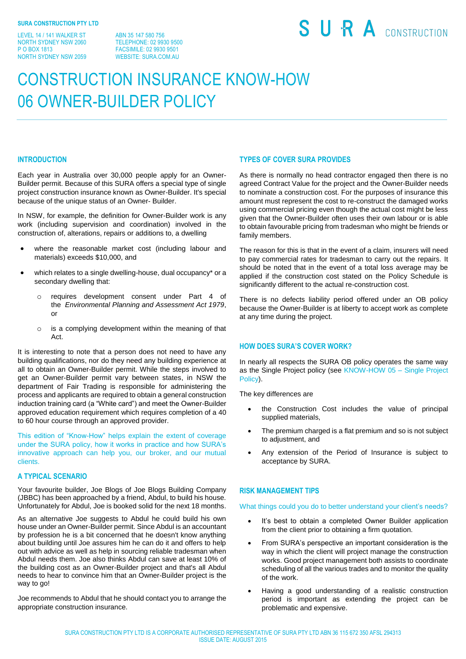LEVEL 14 / 141 WALKER ST NORTH SYDNEY NSW 2060 P O BOX 1813 NORTH SYDNEY NSW 2059

ABN 35 147 580 756 TELEPHONE: 02 9930 9500 FACSIMILE: 02 9930 9501 WEBSITE: SURA.COM.AU

# SURA CONSTRUCTION

# CONSTRUCTION INSURANCE KNOW-HOW 06 OWNER-BUILDER POLICY

#### **INTRODUCTION**

Each year in Australia over 30,000 people apply for an Owner-Builder permit. Because of this SURA offers a special type of single project construction insurance known as Owner-Builder. It's special because of the unique status of an Owner- Builder.

In NSW, for example, the definition for Owner-Builder work is any work (including supervision and coordination) involved in the construction of, alterations, repairs or additions to, a dwelling

- where the reasonable market cost (including labour and materials) exceeds \$10,000, and
- which relates to a single dwelling-house, dual occupancy\* or a secondary dwelling that:
	- o requires development consent under Part 4 of the *Environmental Planning and Assessment Act 1979*, or
	- o is a complying development within the meaning of that Act.

It is interesting to note that a person does not need to have any building qualifications, nor do they need any building experience at all to obtain an Owner-Builder permit. While the steps involved to get an Owner-Builder permit vary between states, in NSW the department of Fair Trading is responsible for administering the process and applicants are required to obtain a general construction induction training card (a "White card") and meet the Owner-Builder approved education requirement which requires completion of a 40 to 60 hour course through an approved provider.

This edition of "Know-How" helps explain the extent of coverage under the SURA policy, how it works in practice and how SURA's innovative approach can help you, our broker, and our mutual clients.

#### **A TYPICAL SCENARIO**

Your favourite builder, Joe Blogs of Joe Blogs Building Company (JBBC) has been approached by a friend, Abdul, to build his house. Unfortunately for Abdul, Joe is booked solid for the next 18 months.

As an alternative Joe suggests to Abdul he could build his own house under an Owner-Builder permit. Since Abdul is an accountant by profession he is a bit concerned that he doesn't know anything about building until Joe assures him he can do it and offers to help out with advice as well as help in sourcing reliable tradesman when Abdul needs them. Joe also thinks Abdul can save at least 10% of the building cost as an Owner-Builder project and that's all Abdul needs to hear to convince him that an Owner-Builder project is the way to go!

Joe recommends to Abdul that he should contact you to arrange the appropriate construction insurance.

## **TYPES OF COVER SURA PROVIDES**

As there is normally no head contractor engaged then there is no agreed Contract Value for the project and the Owner-Builder needs to nominate a construction cost. For the purposes of insurance this amount must represent the cost to re-construct the damaged works using commercial pricing even though the actual cost might be less given that the Owner-Builder often uses their own labour or is able to obtain favourable pricing from tradesman who might be friends or family members.

The reason for this is that in the event of a claim, insurers will need to pay commercial rates for tradesman to carry out the repairs. It should be noted that in the event of a total loss average may be applied if the construction cost stated on the Policy Schedule is significantly different to the actual re-construction cost.

There is no defects liability period offered under an OB policy because the Owner-Builder is at liberty to accept work as complete at any time during the project.

## **HOW DOES SURA'S COVER WORK?**

In nearly all respects the SURA OB policy operates the same way as the Single Project policy (see KNOW-HOW 05 – Single Project Policy).

The key differences are

- the Construction Cost includes the value of principal supplied materials,
- The premium charged is a flat premium and so is not subject to adjustment, and
- Any extension of the Period of Insurance is subject to acceptance by SURA.

#### **RISK MANAGEMENT TIPS**

What things could you do to better understand your client's needs?

- It's best to obtain a completed Owner Builder application from the client prior to obtaining a firm quotation.
- From SURA's perspective an important consideration is the way in which the client will project manage the construction works. Good project management both assists to coordinate scheduling of all the various trades and to monitor the quality of the work.
- Having a good understanding of a realistic construction period is important as extending the project can be problematic and expensive.